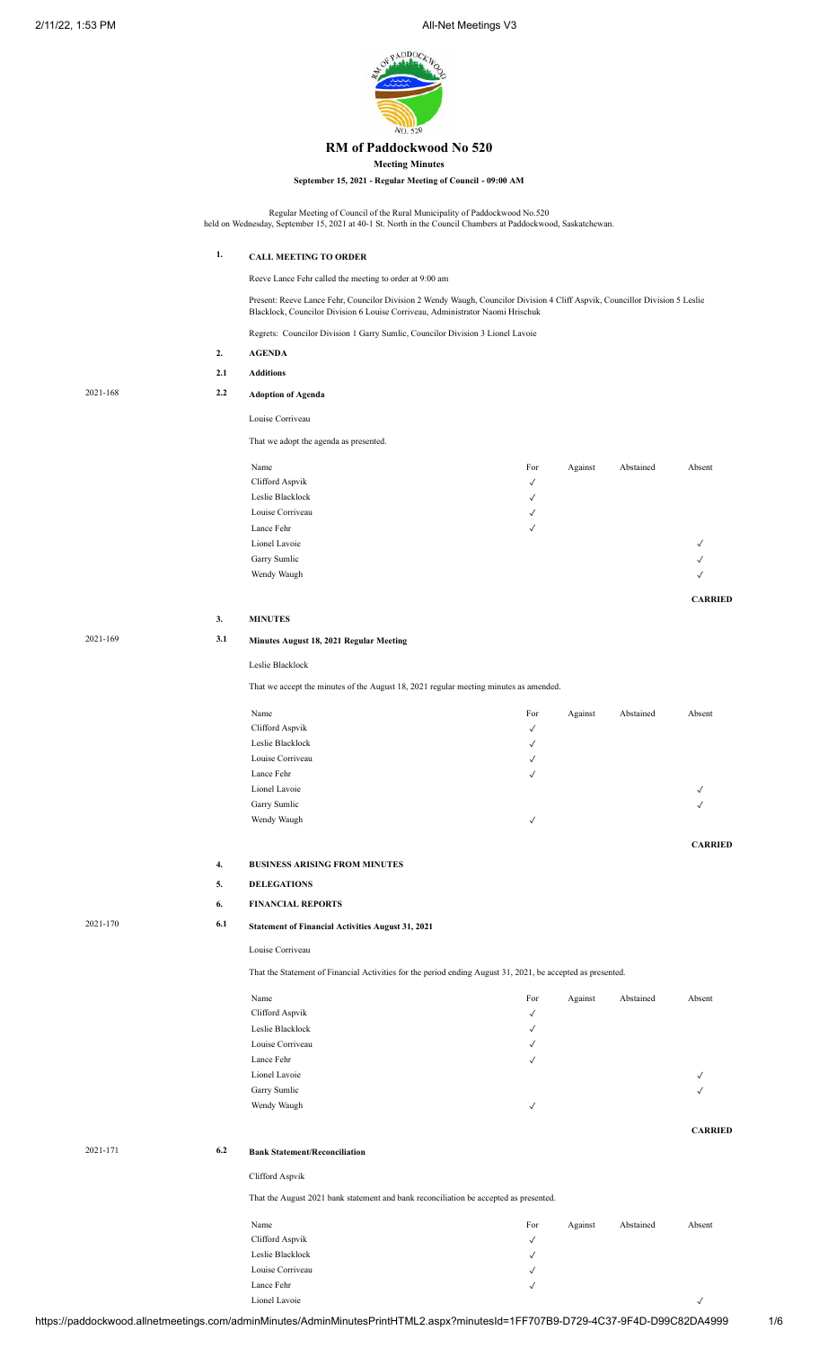2/11/22, 1:53 PM **All-Net Meetings V3** 



## **RM of Paddockwood No 520**

**Meeting Minutes**

**September 15, 2021 - Regular Meeting of Council - 09:00 AM**

Regular Meeting of Council of the Rural Municipality of Paddockwood No.520 held on Wednesday, September 15, 2021 at 40-1 St. North in the Council Chambers at Paddockwood, Saskatchewan.

#### **1. CALL MEETING TO ORDER**

Reeve Lance Fehr called the meeting to order at 9:00 am

|          |     | Present: Reeve Lance Fehr, Councilor Division 2 Wendy Waugh, Councilor Division 4 Cliff Aspvik, Councillor Division 5 Leslie<br>Blacklock, Councilor Division 6 Louise Corriveau, Administrator Naomi Hrischuk |              |         |           |                |
|----------|-----|----------------------------------------------------------------------------------------------------------------------------------------------------------------------------------------------------------------|--------------|---------|-----------|----------------|
|          |     | Regrets: Councilor Division 1 Garry Sumlic, Councilor Division 3 Lionel Lavoie                                                                                                                                 |              |         |           |                |
|          | 2.  | <b>AGENDA</b>                                                                                                                                                                                                  |              |         |           |                |
|          | 2.1 | <b>Additions</b>                                                                                                                                                                                               |              |         |           |                |
| 2021-168 | 2.2 | <b>Adoption of Agenda</b>                                                                                                                                                                                      |              |         |           |                |
|          |     | Louise Corriveau                                                                                                                                                                                               |              |         |           |                |
|          |     | That we adopt the agenda as presented.                                                                                                                                                                         |              |         |           |                |
|          |     | Name                                                                                                                                                                                                           | For          | Against | Abstained | Absent         |
|          |     | Clifford Aspvik                                                                                                                                                                                                | $\checkmark$ |         |           |                |
|          |     | Leslie Blacklock                                                                                                                                                                                               | $\checkmark$ |         |           |                |
|          |     | Louise Corriveau                                                                                                                                                                                               | √            |         |           |                |
|          |     | Lance Fehr                                                                                                                                                                                                     | $\checkmark$ |         |           |                |
|          |     | Lionel Lavoie                                                                                                                                                                                                  |              |         |           | ✓              |
|          |     | Garry Sumlic                                                                                                                                                                                                   |              |         |           | √              |
|          |     | Wendy Waugh                                                                                                                                                                                                    |              |         |           | $\checkmark$   |
|          |     |                                                                                                                                                                                                                |              |         |           | <b>CARRIED</b> |
|          | 3.  | <b>MINUTES</b>                                                                                                                                                                                                 |              |         |           |                |
| 2021-169 | 3.1 | Minutes August 18, 2021 Regular Meeting                                                                                                                                                                        |              |         |           |                |
|          |     | Leslie Blacklock                                                                                                                                                                                               |              |         |           |                |
|          |     | That we accept the minutes of the August 18, 2021 regular meeting minutes as amended.                                                                                                                          |              |         |           |                |
|          |     | Name                                                                                                                                                                                                           | For          | Against | Abstained | Absent         |
|          |     | Clifford Aspvik                                                                                                                                                                                                | $\checkmark$ |         |           |                |
|          |     | Leslie Blacklock                                                                                                                                                                                               | $\checkmark$ |         |           |                |
|          |     | Louise Corriveau                                                                                                                                                                                               | √            |         |           |                |
|          |     | Lance Fehr                                                                                                                                                                                                     | $\checkmark$ |         |           |                |
|          |     | Lionel Lavoie                                                                                                                                                                                                  |              |         |           | $\checkmark$   |
|          |     | Garry Sumlic                                                                                                                                                                                                   |              |         |           | $\checkmark$   |
|          |     | Wendy Waugh                                                                                                                                                                                                    | $\checkmark$ |         |           |                |
|          |     |                                                                                                                                                                                                                |              |         |           | <b>CARRIED</b> |
|          | 4.  | <b>BUSINESS ARISING FROM MINUTES</b>                                                                                                                                                                           |              |         |           |                |
|          | 5.  | <b>DELEGATIONS</b>                                                                                                                                                                                             |              |         |           |                |
|          | 6.  | <b>FINANCIAL REPORTS</b>                                                                                                                                                                                       |              |         |           |                |
| 2021-170 | 6.1 | <b>Statement of Financial Activities August 31, 2021</b>                                                                                                                                                       |              |         |           |                |
|          |     | Louise Corriveau                                                                                                                                                                                               |              |         |           |                |
|          |     | That the Statement of Financial Activities for the period ending August 31, 2021, be accepted as presented.                                                                                                    |              |         |           |                |
|          |     | Name                                                                                                                                                                                                           | For          | Against | Abstained | Absent         |
|          |     | Clifford Aspvik                                                                                                                                                                                                | $\checkmark$ |         |           |                |
|          |     | Leslie Blacklock                                                                                                                                                                                               | $\checkmark$ |         |           |                |

|                                                                                       |              |         |           | <b>CARRIED</b> |
|---------------------------------------------------------------------------------------|--------------|---------|-----------|----------------|
| <b>Bank Statement/Reconciliation</b>                                                  |              |         |           |                |
| Clifford Aspvik                                                                       |              |         |           |                |
| That the August 2021 bank statement and bank reconciliation be accepted as presented. |              |         |           |                |
| Name                                                                                  | For          | Against | Abstained | Absent         |
| Clifford Aspvik                                                                       | $\checkmark$ |         |           |                |
| Leslie Blacklock                                                                      | $\checkmark$ |         |           |                |
| Louise Corriveau                                                                      | $\checkmark$ |         |           |                |

Lionel Lavoie ✓

https://paddockwood.allnetmeetings.com/adminMinutes/AdminMinutesPrintHTML2.aspx?minutesId=1FF707B9-D729-4C37-9F4D-D99C82DA4999 1/6

Lance Fehr  $\checkmark$ 

Louise Corriveau ✓

Lance Fehr Lionel Lavoie Garry Sumlic Wendy Waugh

**2021-171 6.2**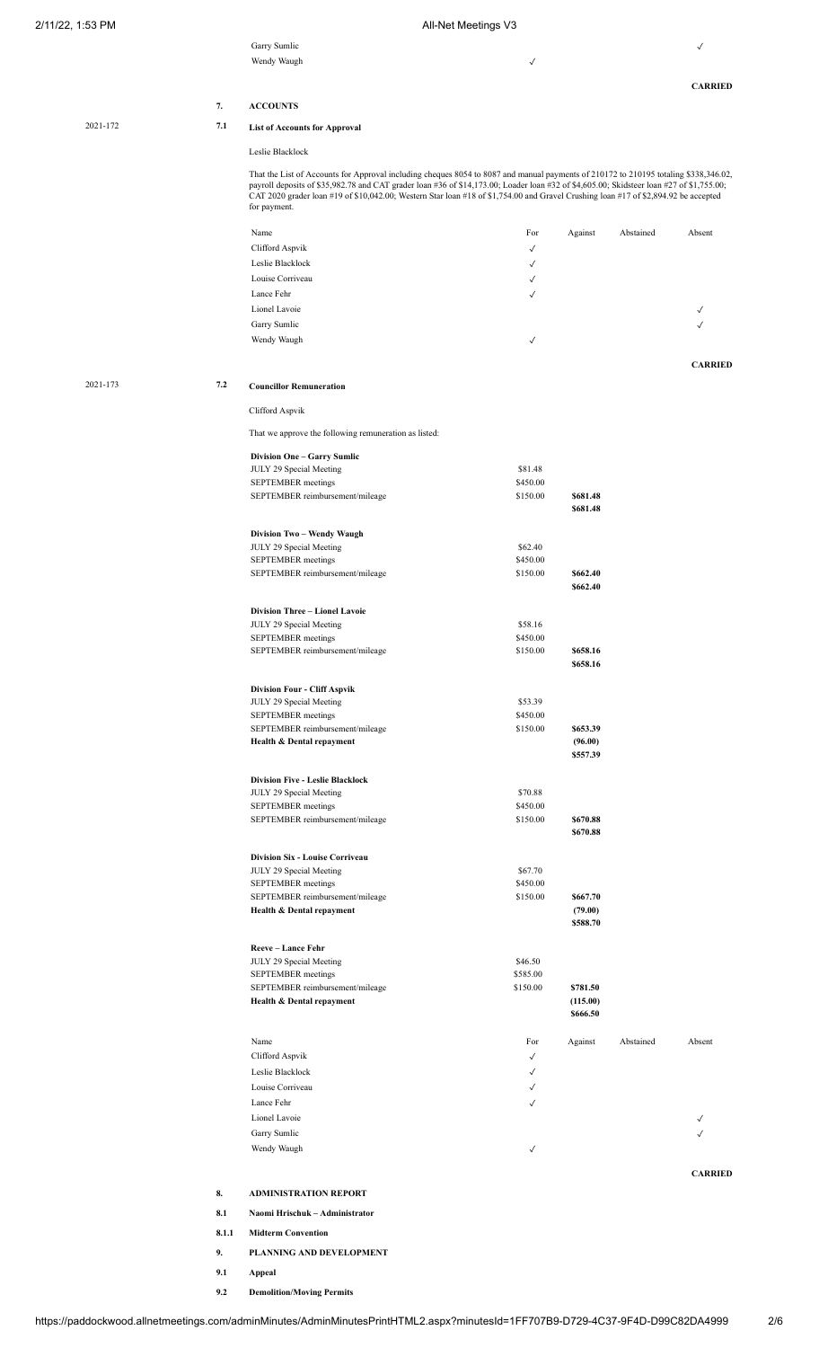2021-172 **7.1 List of Accounts for Approval**

2021-173 **7.2 Councillor Remuneration**

|     | All-Net Meetings V3                                                                                                                                                                                                                                                                                                                                                                                                                     |              |                      |           |                |  |  |
|-----|-----------------------------------------------------------------------------------------------------------------------------------------------------------------------------------------------------------------------------------------------------------------------------------------------------------------------------------------------------------------------------------------------------------------------------------------|--------------|----------------------|-----------|----------------|--|--|
|     | Garry Sumlic                                                                                                                                                                                                                                                                                                                                                                                                                            |              |                      |           | $\checkmark$   |  |  |
|     | Wendy Waugh                                                                                                                                                                                                                                                                                                                                                                                                                             | $\checkmark$ |                      |           |                |  |  |
|     |                                                                                                                                                                                                                                                                                                                                                                                                                                         |              |                      |           |                |  |  |
|     |                                                                                                                                                                                                                                                                                                                                                                                                                                         |              |                      |           | <b>CARRIED</b> |  |  |
| 7.  | <b>ACCOUNTS</b>                                                                                                                                                                                                                                                                                                                                                                                                                         |              |                      |           |                |  |  |
| 7.1 | <b>List of Accounts for Approval</b>                                                                                                                                                                                                                                                                                                                                                                                                    |              |                      |           |                |  |  |
|     | Leslie Blacklock                                                                                                                                                                                                                                                                                                                                                                                                                        |              |                      |           |                |  |  |
|     | That the List of Accounts for Approval including cheques 8054 to 8087 and manual payments of 210172 to 210195 totaling \$338,346.02,<br>payroll deposits of \$35,982.78 and CAT grader loan #36 of \$14,173.00; Loader loan #32 of \$4,605.00; Skidsteer loan #27 of \$1,755.00;<br>CAT 2020 grader loan #19 of \$10,042.00; Western Star loan #18 of \$1,754.00 and Gravel Crushing loan #17 of \$2,894.92 be accepted<br>for payment. |              |                      |           |                |  |  |
|     | Name                                                                                                                                                                                                                                                                                                                                                                                                                                    | For          | Against              | Abstained | Absent         |  |  |
|     | Clifford Aspvik                                                                                                                                                                                                                                                                                                                                                                                                                         | ✓            |                      |           |                |  |  |
|     | Leslie Blacklock                                                                                                                                                                                                                                                                                                                                                                                                                        | $\checkmark$ |                      |           |                |  |  |
|     | Louise Corriveau                                                                                                                                                                                                                                                                                                                                                                                                                        | $\checkmark$ |                      |           |                |  |  |
|     | Lance Fehr                                                                                                                                                                                                                                                                                                                                                                                                                              | $\checkmark$ |                      |           |                |  |  |
|     | Lionel Lavoie                                                                                                                                                                                                                                                                                                                                                                                                                           |              |                      |           | $\checkmark$   |  |  |
|     | Garry Sumlic                                                                                                                                                                                                                                                                                                                                                                                                                            |              |                      |           | $\checkmark$   |  |  |
|     | Wendy Waugh                                                                                                                                                                                                                                                                                                                                                                                                                             | $\checkmark$ |                      |           |                |  |  |
|     |                                                                                                                                                                                                                                                                                                                                                                                                                                         |              |                      |           | <b>CARRIED</b> |  |  |
| 7.2 | <b>Councillor Remuneration</b>                                                                                                                                                                                                                                                                                                                                                                                                          |              |                      |           |                |  |  |
|     | Clifford Aspvik                                                                                                                                                                                                                                                                                                                                                                                                                         |              |                      |           |                |  |  |
|     | That we approve the following remuneration as listed:                                                                                                                                                                                                                                                                                                                                                                                   |              |                      |           |                |  |  |
|     | <b>Division One - Garry Sumlic</b>                                                                                                                                                                                                                                                                                                                                                                                                      |              |                      |           |                |  |  |
|     | JULY 29 Special Meeting                                                                                                                                                                                                                                                                                                                                                                                                                 | \$81.48      |                      |           |                |  |  |
|     | SEPTEMBER meetings                                                                                                                                                                                                                                                                                                                                                                                                                      | \$450.00     |                      |           |                |  |  |
|     | SEPTEMBER reimbursement/mileage                                                                                                                                                                                                                                                                                                                                                                                                         | \$150.00     | \$681.48<br>\$681.48 |           |                |  |  |
|     |                                                                                                                                                                                                                                                                                                                                                                                                                                         |              |                      |           |                |  |  |
|     | Division Two - Wendy Waugh                                                                                                                                                                                                                                                                                                                                                                                                              |              |                      |           |                |  |  |
|     | JULY 29 Special Meeting                                                                                                                                                                                                                                                                                                                                                                                                                 | \$62.40      |                      |           |                |  |  |
|     | <b>SEPTEMBER</b> meetings                                                                                                                                                                                                                                                                                                                                                                                                               | \$450.00     |                      |           |                |  |  |
|     | SEPTEMBER reimbursement/mileage                                                                                                                                                                                                                                                                                                                                                                                                         | \$150.00     | \$662.40<br>\$662.40 |           |                |  |  |
|     |                                                                                                                                                                                                                                                                                                                                                                                                                                         |              |                      |           |                |  |  |

| JULY 29 Special Meeting                               | \$81.48      |          |           |        |
|-------------------------------------------------------|--------------|----------|-----------|--------|
| <b>SEPTEMBER</b> meetings                             | \$450.00     |          |           |        |
| SEPTEMBER reimbursement/mileage                       | \$150.00     | \$681.48 |           |        |
|                                                       |              | \$681.48 |           |        |
| Division Two - Wendy Waugh                            |              |          |           |        |
| JULY 29 Special Meeting                               | \$62.40      |          |           |        |
| SEPTEMBER meetings                                    | \$450.00     |          |           |        |
| SEPTEMBER reimbursement/mileage                       | \$150.00     | \$662.40 |           |        |
|                                                       |              | \$662.40 |           |        |
|                                                       |              |          |           |        |
| Division Three - Lionel Lavoie                        |              |          |           |        |
| JULY 29 Special Meeting                               | \$58.16      |          |           |        |
| <b>SEPTEMBER</b> meetings                             | \$450.00     |          |           |        |
| SEPTEMBER reimbursement/mileage                       | \$150.00     | \$658.16 |           |        |
|                                                       |              | \$658.16 |           |        |
|                                                       |              |          |           |        |
| <b>Division Four - Cliff Aspvik</b>                   |              |          |           |        |
| JULY 29 Special Meeting                               | \$53.39      |          |           |        |
| <b>SEPTEMBER</b> meetings                             | \$450.00     |          |           |        |
| SEPTEMBER reimbursement/mileage                       | \$150.00     | \$653.39 |           |        |
| Health & Dental repayment                             |              | (96.00)  |           |        |
|                                                       |              | \$557.39 |           |        |
| <b>Division Five - Leslie Blacklock</b>               |              |          |           |        |
| JULY 29 Special Meeting                               | \$70.88      |          |           |        |
| SEPTEMBER meetings                                    | \$450.00     |          |           |        |
| SEPTEMBER reimbursement/mileage                       | \$150.00     | \$670.88 |           |        |
|                                                       |              | \$670.88 |           |        |
|                                                       |              |          |           |        |
| Division Six - Louise Corriveau                       | \$67.70      |          |           |        |
| JULY 29 Special Meeting                               | \$450.00     |          |           |        |
| SEPTEMBER meetings<br>SEPTEMBER reimbursement/mileage | \$150.00     | \$667.70 |           |        |
| Health & Dental repayment                             |              | (79.00)  |           |        |
|                                                       |              | \$588.70 |           |        |
|                                                       |              |          |           |        |
| Reeve-Lance Fehr                                      |              |          |           |        |
| JULY 29 Special Meeting                               | \$46.50      |          |           |        |
| <b>SEPTEMBER</b> meetings                             | \$585.00     |          |           |        |
| SEPTEMBER reimbursement/mileage                       | \$150.00     | \$781.50 |           |        |
| Health & Dental repayment                             |              | (115.00) |           |        |
|                                                       |              | \$666.50 |           |        |
|                                                       |              |          |           |        |
| Name                                                  | For          | Against  | Abstained | Absent |
| Clifford Aspvik                                       | $\checkmark$ |          |           |        |
| Leslie Blacklock                                      | $\checkmark$ |          |           |        |
| Louise Corriveau                                      | ✓            |          |           |        |
| Lance Fehr                                            | $\checkmark$ |          |           |        |
| Lionel Lavoie                                         |              |          |           | ✓      |
| Garry Sumlic                                          |              |          |           |        |
| Wendy Waugh                                           | $\checkmark$ |          |           |        |
|                                                       |              |          |           |        |

**CARRIED**

#### **8. ADMINISTRATION REPORT**

- **8.1 Naomi Hrischuk Administrator**
- **8.1.1 Midterm Convention**
- **9. PLANNING AND DEVELOPMENT**
- **9.1 Appeal**
- **9.2 Demolition/Moving Permits**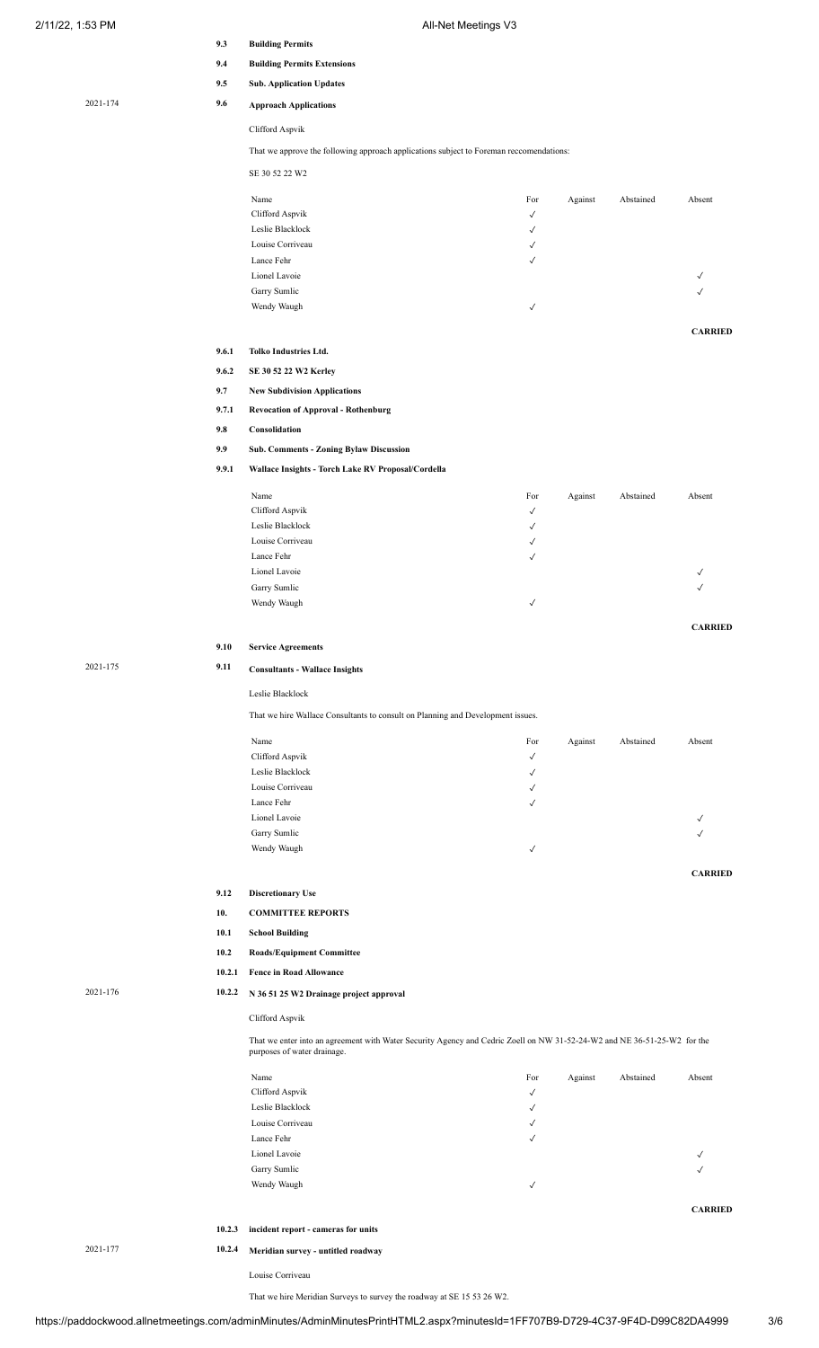|  | 2/11/22, 1:53 PM |  |
|--|------------------|--|

**9.3 Building Permits**

**9.4 Building Permits Extensions**

**9.5 Sub. Application Updates**

2021-174 **9.6 Approach Applications**

Clifford Aspvik

That we approve the following approach applications subject to Foreman reccomendations:

| Name             | For          | Against | Abstained | Absent       |
|------------------|--------------|---------|-----------|--------------|
| Clifford Aspvik  | $\sqrt{ }$   |         |           |              |
| Leslie Blacklock | $\checkmark$ |         |           |              |
| Louise Corriveau | $\checkmark$ |         |           |              |
| Lance Fehr       | $\checkmark$ |         |           |              |
| Lionel Lavoie    |              |         |           | $\checkmark$ |
| Garry Sumlic     |              |         |           | $\checkmark$ |
| Wendy Waugh      | $\checkmark$ |         |           |              |

All-Net Meetings V3

#### **9.6.1 Tolko Industries Ltd. 9.6.2 SE 30 52 22 W2 Kerley**

**9.7 New Subdivision Applications**

### **9.7.1 Revocation of Approval - Rothenburg**

**9.8 Consolidation**

#### **9.9 Sub. Comments - Zoning Bylaw Discussion**

**9.9.1 Wallace Insights - Torch Lake RV Proposal/Cordella**

| Name             | For          | Against | Abstained | Absent       |
|------------------|--------------|---------|-----------|--------------|
| Clifford Aspvik  | $\checkmark$ |         |           |              |
| Leslie Blacklock | $\checkmark$ |         |           |              |
| Louise Corriveau | $\sqrt{ }$   |         |           |              |
| Lance Fehr       | $\checkmark$ |         |           |              |
| Lionel Lavoie    |              |         |           | $\checkmark$ |
| Garry Sumlic     |              |         |           | $\checkmark$ |
| Wendy Waugh      | $\checkmark$ |         |           |              |
|                  |              |         |           |              |

**CARRIED**

**CARRIED**

**CARRIED**

**9.10 Service Agreements**

## 2021-175 **9.11 Consultants - Wallace Insights**

Leslie Blacklock

That we hire Wallace Consultants to consult on Planning and Development issues.

| Name             | For          | Against | Abstained | Absent       |
|------------------|--------------|---------|-----------|--------------|
| Clifford Aspvik  | $\checkmark$ |         |           |              |
| Leslie Blacklock | $\checkmark$ |         |           |              |
| Louise Corriveau | $\checkmark$ |         |           |              |
| Lance Fehr       | $\checkmark$ |         |           |              |
| Lionel Lavoie    |              |         |           | √            |
| Garry Sumlic     |              |         |           | $\checkmark$ |
| Wendy Waugh      | $\checkmark$ |         |           |              |
|                  |              |         |           |              |

#### **9.12 Discretionary Use**

#### **10. COMMITTEE REPORTS**

**10.1 School Building**

**10.2 Roads/Equipment Committee**

#### **10.2.1 Fence in Road Allowance**

2021-176 **10.2.2 N 36 51 25 W2 Drainage project approval**

# Clifford Aspvik

That we enter into an agreement with Water Security Agency and Cedric Zoell on NW 31-52-24-W2 and NE 36-51-25-W2 for the purposes of water drainage.

| Name             | For          | Against | Abstained | Absent       |
|------------------|--------------|---------|-----------|--------------|
| Clifford Aspvik  | $\checkmark$ |         |           |              |
| Leslie Blacklock | $\sqrt{ }$   |         |           |              |
| Louise Corriveau | $\checkmark$ |         |           |              |
| Lance Fehr       | $\checkmark$ |         |           |              |
| Lionel Lavoie    |              |         |           | $\checkmark$ |
| Garry Sumlic     |              |         |           | $\checkmark$ |
| Wendy Waugh      | $\checkmark$ |         |           |              |

**CARRIED**

- **10.2.3 incident report cameras for units** 2021-177 **10.2.4 Meridian survey - untitled roadway**
	- Louise Corriveau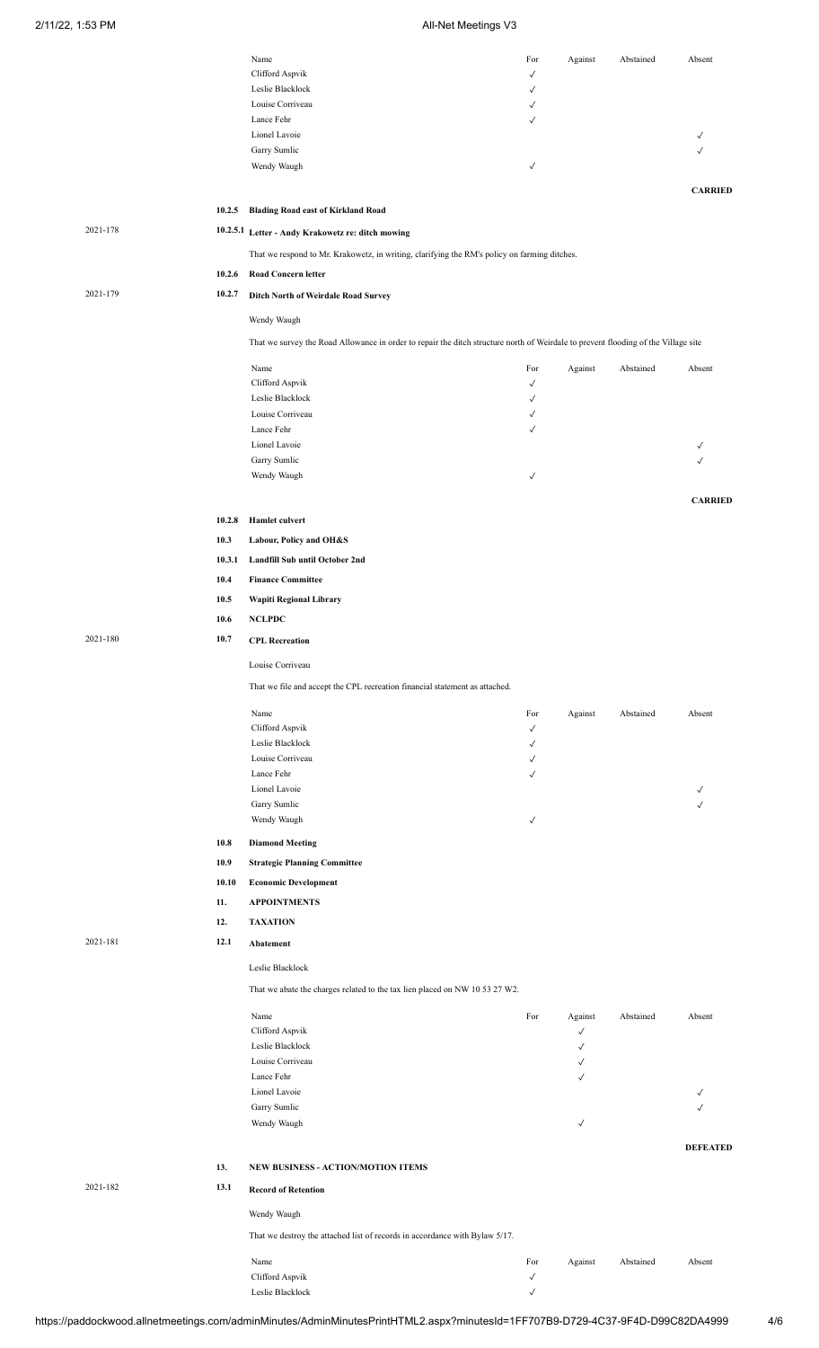## 2/11/22, 1:53 PM **All-Net Meetings V3**

|          |        | Name                                                                                                                               | For          | Against      | Abstained | Absent            |
|----------|--------|------------------------------------------------------------------------------------------------------------------------------------|--------------|--------------|-----------|-------------------|
|          |        | Clifford Aspvik                                                                                                                    | $\checkmark$ |              |           |                   |
|          |        | Leslie Blacklock                                                                                                                   | √            |              |           |                   |
|          |        | Louise Corriveau                                                                                                                   | $\checkmark$ |              |           |                   |
|          |        | Lance Fehr                                                                                                                         | $\checkmark$ |              |           |                   |
|          |        | Lionel Lavoie                                                                                                                      |              |              |           | $\checkmark$      |
|          |        | Garry Sumlic                                                                                                                       |              |              |           | $\checkmark$      |
|          |        | Wendy Waugh                                                                                                                        | √            |              |           |                   |
|          |        |                                                                                                                                    |              |              |           |                   |
|          |        |                                                                                                                                    |              |              |           | <b>CARRIED</b>    |
|          | 10.2.5 | <b>Blading Road east of Kirkland Road</b>                                                                                          |              |              |           |                   |
| 2021-178 |        | 10.2.5.1 Letter - Andy Krakowetz re: ditch mowing                                                                                  |              |              |           |                   |
|          |        |                                                                                                                                    |              |              |           |                   |
|          |        | That we respond to Mr. Krakowetz, in writing, clarifying the RM's policy on farming ditches.                                       |              |              |           |                   |
|          | 10.2.6 | <b>Road Concern letter</b>                                                                                                         |              |              |           |                   |
| 2021-179 | 10.2.7 | Ditch North of Weirdale Road Survey                                                                                                |              |              |           |                   |
|          |        |                                                                                                                                    |              |              |           |                   |
|          |        | Wendy Waugh                                                                                                                        |              |              |           |                   |
|          |        | That we survey the Road Allowance in order to repair the ditch structure north of Weirdale to prevent flooding of the Village site |              |              |           |                   |
|          |        |                                                                                                                                    |              |              |           |                   |
|          |        | Name                                                                                                                               | For          | Against      | Abstained | Absent            |
|          |        | Clifford Aspvik                                                                                                                    | √            |              |           |                   |
|          |        | Leslie Blacklock                                                                                                                   | $\checkmark$ |              |           |                   |
|          |        | Louise Corriveau                                                                                                                   | $\checkmark$ |              |           |                   |
|          |        | Lance Fehr                                                                                                                         | √            |              |           |                   |
|          |        | Lionel Lavoie                                                                                                                      |              |              |           | $\checkmark$      |
|          |        | Garry Sumlic                                                                                                                       |              |              |           | √                 |
|          |        | Wendy Waugh                                                                                                                        | $\checkmark$ |              |           |                   |
|          |        |                                                                                                                                    |              |              |           |                   |
|          |        |                                                                                                                                    |              |              |           | <b>CARRIED</b>    |
|          | 10.2.8 | Hamlet culvert                                                                                                                     |              |              |           |                   |
|          | 10.3   | Labour, Policy and OH&S                                                                                                            |              |              |           |                   |
|          |        |                                                                                                                                    |              |              |           |                   |
|          | 10.3.1 | Landfill Sub until October 2nd                                                                                                     |              |              |           |                   |
|          | 10.4   | <b>Finance Committee</b>                                                                                                           |              |              |           |                   |
|          | 10.5   | Wapiti Regional Library                                                                                                            |              |              |           |                   |
|          | 10.6   | <b>NCLPDC</b>                                                                                                                      |              |              |           |                   |
|          |        |                                                                                                                                    |              |              |           |                   |
| 2021-180 | 10.7   | <b>CPL Recreation</b>                                                                                                              |              |              |           |                   |
|          |        | Louise Corriveau                                                                                                                   |              |              |           |                   |
|          |        |                                                                                                                                    |              |              |           |                   |
|          |        | That we file and accept the CPL recreation financial statement as attached.                                                        |              |              |           |                   |
|          |        |                                                                                                                                    |              |              |           |                   |
|          |        | Name                                                                                                                               | For          | Against      | Abstained | Absent            |
|          |        | Clifford Aspvik                                                                                                                    | $\checkmark$ |              |           |                   |
|          |        | Leslie Blacklock                                                                                                                   | $\checkmark$ |              |           |                   |
|          |        | Louise Corriveau                                                                                                                   | $\checkmark$ |              |           |                   |
|          |        | Lance Fehr                                                                                                                         | √            |              |           |                   |
|          |        | Lionel Lavoie                                                                                                                      |              |              |           | $\checkmark$      |
|          |        | Garry Sumlic                                                                                                                       |              |              |           | √                 |
|          |        | Wendy Waugh                                                                                                                        | √            |              |           |                   |
|          | 10.8   | <b>Diamond Meeting</b>                                                                                                             |              |              |           |                   |
|          |        |                                                                                                                                    |              |              |           |                   |
|          | 10.9   | <b>Strategic Planning Committee</b>                                                                                                |              |              |           |                   |
|          | 10.10  | <b>Economic Development</b>                                                                                                        |              |              |           |                   |
|          | 11.    | <b>APPOINTMENTS</b>                                                                                                                |              |              |           |                   |
|          | 12.    | <b>TAXATION</b>                                                                                                                    |              |              |           |                   |
|          |        |                                                                                                                                    |              |              |           |                   |
| 2021-181 | 12.1   | Abatement                                                                                                                          |              |              |           |                   |
|          |        | Leslie Blacklock                                                                                                                   |              |              |           |                   |
|          |        |                                                                                                                                    |              |              |           |                   |
|          |        | That we abate the charges related to the tax lien placed on NW 10 53 27 W2.                                                        |              |              |           |                   |
|          |        |                                                                                                                                    |              |              |           |                   |
|          |        | Name                                                                                                                               | For          | Against      | Abstained | Absent            |
|          |        | Clifford Aspvik                                                                                                                    |              | $\checkmark$ |           |                   |
|          |        | Leslie Blacklock<br>Louise Corriveau                                                                                               |              | $\checkmark$ |           |                   |
|          |        |                                                                                                                                    |              | $\checkmark$ |           |                   |
|          |        | Lance Fehr<br>Lionel Lavoie                                                                                                        |              | $\checkmark$ |           |                   |
|          |        | Garry Sumlic                                                                                                                       |              |              |           | √<br>$\checkmark$ |
|          |        | Wendy Waugh                                                                                                                        |              | $\checkmark$ |           |                   |
|          |        |                                                                                                                                    |              |              |           |                   |
|          |        |                                                                                                                                    |              |              |           | <b>DEFEATED</b>   |
|          | 13.    | <b>NEW BUSINESS - ACTION/MOTION ITEMS</b>                                                                                          |              |              |           |                   |
|          |        |                                                                                                                                    |              |              |           |                   |
| 2021-182 | 13.1   | <b>Record of Retention</b>                                                                                                         |              |              |           |                   |
|          |        | Wendy Waugh                                                                                                                        |              |              |           |                   |
|          |        |                                                                                                                                    |              |              |           |                   |
|          |        | That we destroy the attached list of records in accordance with Bylaw 5/17.                                                        |              |              |           |                   |
|          |        |                                                                                                                                    |              |              |           |                   |
|          |        | Name<br>Clifford Aspvik                                                                                                            | For          | Against      | Abstained | Absent            |
|          |        | Leslie Blacklock                                                                                                                   | $\checkmark$ |              |           |                   |
|          |        |                                                                                                                                    | $\checkmark$ |              |           |                   |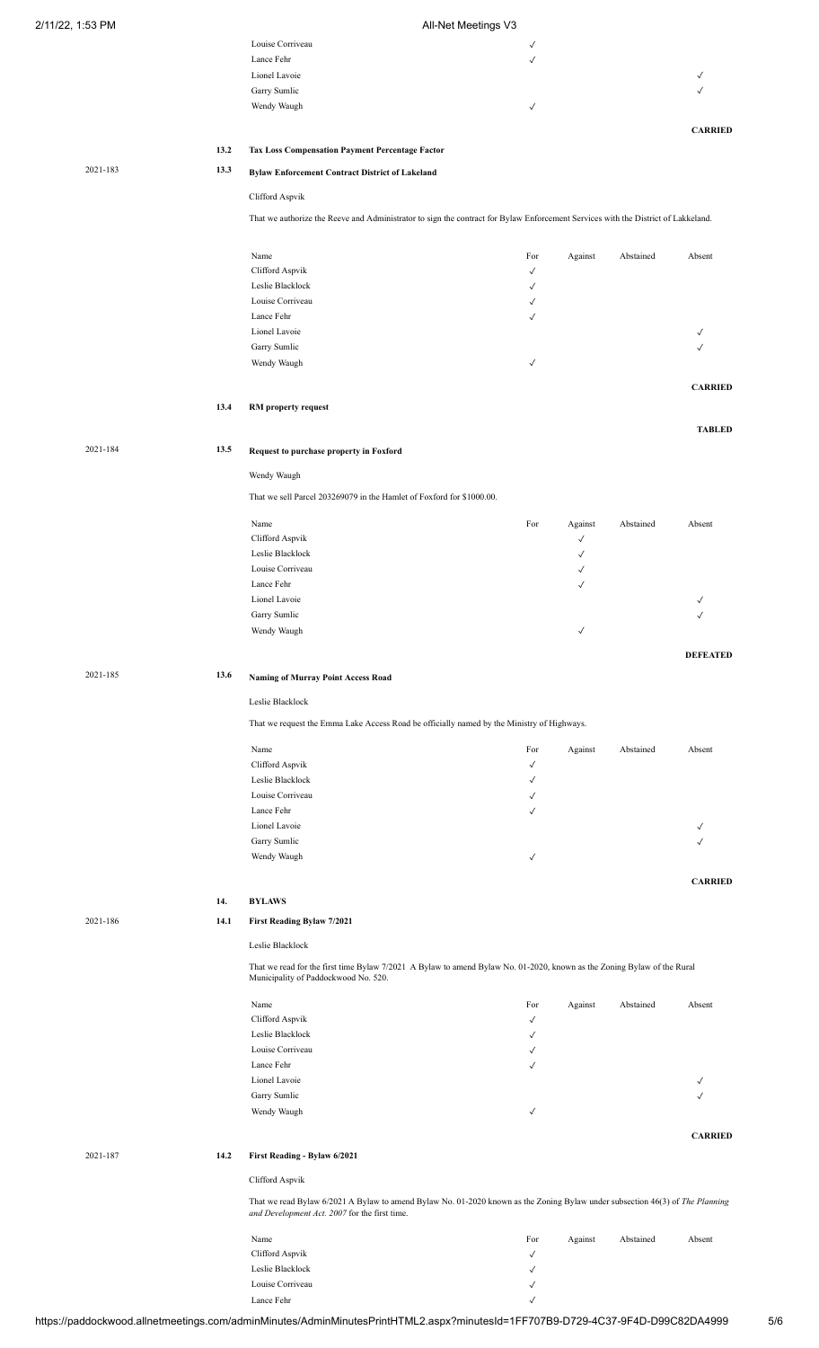| 2/11/22, 1:53 PM |      |                                                                                                                                   | All-Net Meetings V3 |              |           |                 |
|------------------|------|-----------------------------------------------------------------------------------------------------------------------------------|---------------------|--------------|-----------|-----------------|
|                  |      | Louise Corriveau                                                                                                                  | √                   |              |           |                 |
|                  |      | Lance Fehr                                                                                                                        | $\checkmark$        |              |           |                 |
|                  |      | Lionel Lavoie                                                                                                                     |                     |              |           |                 |
|                  |      |                                                                                                                                   |                     |              |           | √               |
|                  |      | Garry Sumlic                                                                                                                      |                     |              |           | $\checkmark$    |
|                  |      | Wendy Waugh                                                                                                                       | $\checkmark$        |              |           |                 |
|                  |      |                                                                                                                                   |                     |              |           | <b>CARRIED</b>  |
|                  |      |                                                                                                                                   |                     |              |           |                 |
|                  | 13.2 | <b>Tax Loss Compensation Payment Percentage Factor</b>                                                                            |                     |              |           |                 |
| 2021-183         | 13.3 | <b>Bylaw Enforcement Contract District of Lakeland</b>                                                                            |                     |              |           |                 |
|                  |      |                                                                                                                                   |                     |              |           |                 |
|                  |      | Clifford Aspvik                                                                                                                   |                     |              |           |                 |
|                  |      | That we authorize the Reeve and Administrator to sign the contract for Bylaw Enforcement Services with the District of Lakkeland. |                     |              |           |                 |
|                  |      |                                                                                                                                   |                     |              |           |                 |
|                  |      |                                                                                                                                   |                     |              |           |                 |
|                  |      | Name                                                                                                                              | For                 | Against      | Abstained | Absent          |
|                  |      | Clifford Aspvik                                                                                                                   | $\checkmark$        |              |           |                 |
|                  |      | Leslie Blacklock                                                                                                                  | $\checkmark$        |              |           |                 |
|                  |      | Louise Corriveau                                                                                                                  | $\checkmark$        |              |           |                 |
|                  |      | Lance Fehr                                                                                                                        | $\checkmark$        |              |           |                 |
|                  |      | Lionel Lavoie                                                                                                                     |                     |              |           | √               |
|                  |      | Garry Sumlic                                                                                                                      |                     |              |           | $\checkmark$    |
|                  |      | Wendy Waugh                                                                                                                       | $\checkmark$        |              |           |                 |
|                  |      |                                                                                                                                   |                     |              |           |                 |
|                  |      |                                                                                                                                   |                     |              |           | <b>CARRIED</b>  |
|                  | 13.4 | <b>RM</b> property request                                                                                                        |                     |              |           |                 |
|                  |      |                                                                                                                                   |                     |              |           |                 |
|                  |      |                                                                                                                                   |                     |              |           | <b>TABLED</b>   |
| 2021-184         | 13.5 | Request to purchase property in Foxford                                                                                           |                     |              |           |                 |
|                  |      |                                                                                                                                   |                     |              |           |                 |
|                  |      | Wendy Waugh                                                                                                                       |                     |              |           |                 |
|                  |      | That we sell Parcel 203269079 in the Hamlet of Foxford for \$1000.00.                                                             |                     |              |           |                 |
|                  |      |                                                                                                                                   |                     |              |           |                 |
|                  |      | Name                                                                                                                              | For                 | Against      | Abstained | Absent          |
|                  |      | Clifford Aspvik                                                                                                                   |                     | $\checkmark$ |           |                 |
|                  |      | Leslie Blacklock                                                                                                                  |                     | $\checkmark$ |           |                 |
|                  |      | Louise Corriveau                                                                                                                  |                     | $\checkmark$ |           |                 |
|                  |      | Lance Fehr                                                                                                                        |                     | $\checkmark$ |           |                 |
|                  |      | Lionel Lavoie                                                                                                                     |                     |              |           | $\checkmark$    |
|                  |      | Garry Sumlic                                                                                                                      |                     |              |           | ✓               |
|                  |      | Wendy Waugh                                                                                                                       |                     | $\checkmark$ |           |                 |
|                  |      |                                                                                                                                   |                     |              |           |                 |
|                  |      |                                                                                                                                   |                     |              |           | <b>DEFEATED</b> |
| 2021-185         | 13.6 | <b>Naming of Murray Point Access Road</b>                                                                                         |                     |              |           |                 |
|                  |      |                                                                                                                                   |                     |              |           |                 |
|                  |      | Leslie Blacklock                                                                                                                  |                     |              |           |                 |
|                  |      |                                                                                                                                   |                     |              |           |                 |
|                  |      | That we request the Emma Lake Access Road be officially named by the Ministry of Highways.                                        |                     |              |           |                 |
|                  |      | Name                                                                                                                              | For                 | Against      | Abstained | Absent          |
|                  |      | Clifford Aspvik                                                                                                                   | $\checkmark$        |              |           |                 |
|                  |      | Leslie Blacklock                                                                                                                  | $\checkmark$        |              |           |                 |
|                  |      | Louise Corriveau                                                                                                                  |                     |              |           |                 |
|                  |      |                                                                                                                                   | $\checkmark$        |              |           |                 |
|                  |      | Lance Fehr                                                                                                                        | $\checkmark$        |              |           |                 |
|                  |      | Lionel Lavoie                                                                                                                     |                     |              |           | $\checkmark$    |
|                  |      | Garry Sumlic                                                                                                                      |                     |              |           | $\checkmark$    |
|                  |      | Wendy Waugh                                                                                                                       | $\checkmark$        |              |           |                 |
|                  |      |                                                                                                                                   |                     |              |           | <b>CARRIED</b>  |
|                  |      |                                                                                                                                   |                     |              |           |                 |
|                  | 14.  | <b>BYLAWS</b>                                                                                                                     |                     |              |           |                 |
| 2021-186         | 14.1 | First Reading Bylaw 7/2021                                                                                                        |                     |              |           |                 |
|                  |      |                                                                                                                                   |                     |              |           |                 |
|                  |      | Leslie Blacklock                                                                                                                  |                     |              |           |                 |
|                  |      | That we read for the first time Bylaw 7/2021 A Bylaw to amend Bylaw No. 01-2020, known as the Zoning Bylaw of the Rural           |                     |              |           |                 |
|                  |      | Municipality of Paddockwood No. 520.                                                                                              |                     |              |           |                 |
|                  |      |                                                                                                                                   |                     |              |           |                 |
|                  |      | Name                                                                                                                              | For                 | Against      | Abstained | Absent          |
|                  |      | Clifford Aspvik                                                                                                                   | $\checkmark$        |              |           |                 |
|                  |      | Leslie Blacklock                                                                                                                  | $\checkmark$        |              |           |                 |
|                  |      | Louise Corriveau                                                                                                                  | $\checkmark$        |              |           |                 |
|                  |      | Lance Fehr                                                                                                                        | $\checkmark$        |              |           |                 |
|                  |      | Lionel Lavoie                                                                                                                     |                     |              |           | $\checkmark$    |
|                  |      | Garry Sumlic                                                                                                                      |                     |              |           | $\checkmark$    |
|                  |      | Wendy Waugh                                                                                                                       | $\checkmark$        |              |           |                 |
|                  |      |                                                                                                                                   |                     |              |           | <b>CARRIED</b>  |
|                  |      |                                                                                                                                   |                     |              |           |                 |
| 2021-187         | 14.2 | First Reading - Bylaw 6/2021                                                                                                      |                     |              |           |                 |
|                  |      | Clifford Aspvik                                                                                                                   |                     |              |           |                 |
|                  |      |                                                                                                                                   |                     |              |           |                 |
|                  |      | That we read Bylaw 6/2021 A Bylaw to amend Bylaw No. 01-2020 known as the Zoning Bylaw under subsection 46(3) of The Planning     |                     |              |           |                 |
|                  |      | and Development Act. 2007 for the first time.                                                                                     |                     |              |           |                 |
|                  |      | Name                                                                                                                              | For                 | Against      | Abstained | Absent          |
|                  |      | Clifford Aspvik                                                                                                                   | $\checkmark$        |              |           |                 |
|                  |      | Leslie Blacklock                                                                                                                  | $\checkmark$        |              |           |                 |
|                  |      | Louise Corriveau                                                                                                                  |                     |              |           |                 |
|                  |      |                                                                                                                                   | $\checkmark$        |              |           |                 |
|                  |      | Lance Fehr                                                                                                                        | $\checkmark$        |              |           |                 |